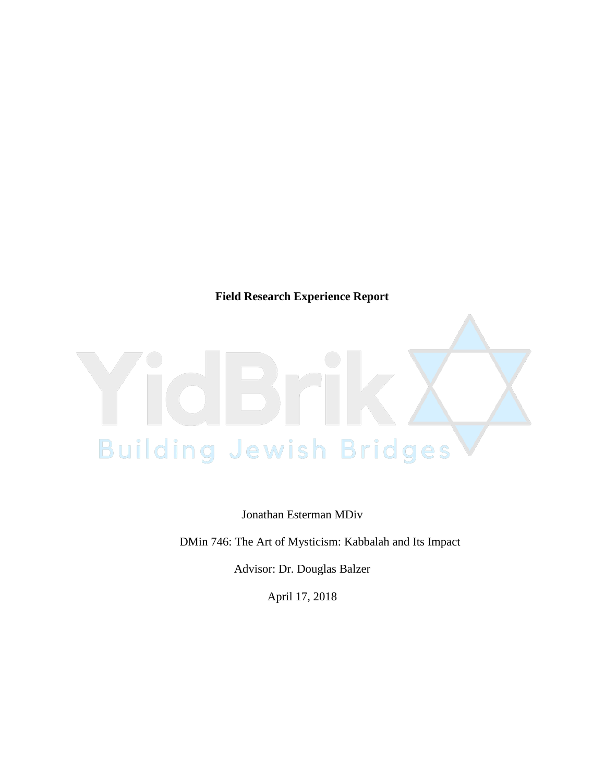**Field Research Experience Report**



Jonathan Esterman MDiv

DMin 746: The Art of Mysticism: Kabbalah and Its Impact

Advisor: Dr. Douglas Balzer

April 17, 2018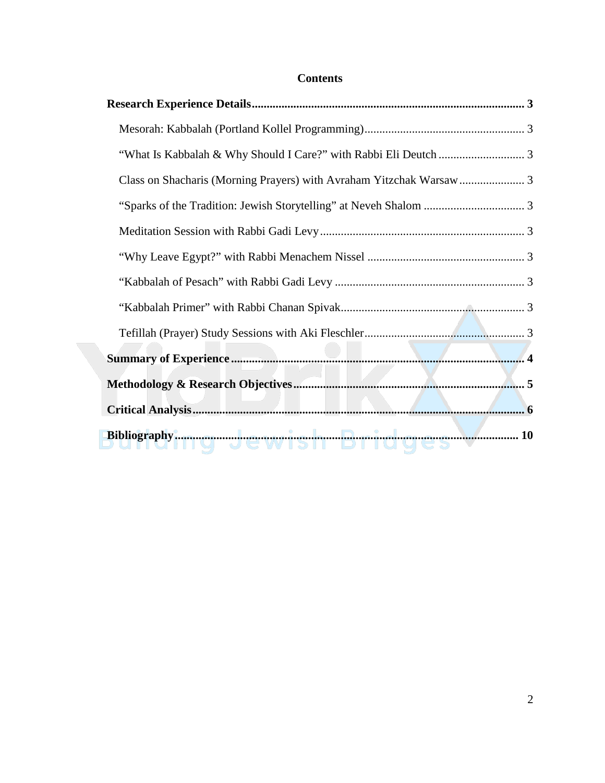# **Contents**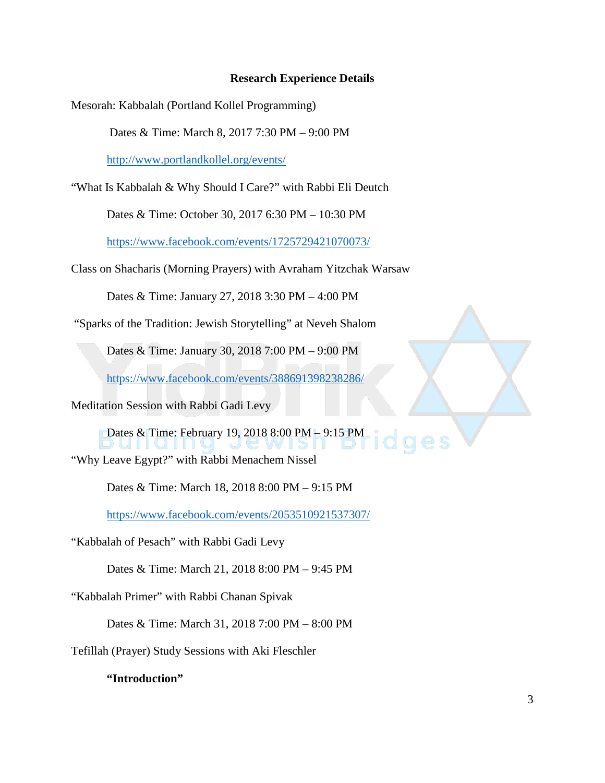### **Research Experience Details**

Mesorah: Kabbalah (Portland Kollel Programming)

Dates & Time: March 8, 2017 7:30 PM – 9:00 PM

<http://www.portlandkollel.org/events/>

"What Is Kabbalah & Why Should I Care?" with Rabbi Eli Deutch

Dates & Time: October 30, 2017 6:30 PM – 10:30 PM

<https://www.facebook.com/events/1725729421070073/>

Class on Shacharis (Morning Prayers) with Avraham Yitzchak Warsaw

Dates & Time: January 27, 2018 3:30 PM – 4:00 PM

"Sparks of the Tradition: Jewish Storytelling" at Neveh Shalom

Dates & Time: January 30, 2018 7:00 PM – 9:00 PM

<https://www.facebook.com/events/388691398238286/>

Meditation Session with Rabbi Gadi Levy

Dates & Time: February 19, 2018 8:00 PM – 9:15 PM "Why Leave Egypt?" with Rabbi Menachem Nissel

Dates & Time: March 18, 2018 8:00 PM – 9:15 PM

<https://www.facebook.com/events/2053510921537307/>

"Kabbalah of Pesach" with Rabbi Gadi Levy

Dates & Time: March 21, 2018 8:00 PM – 9:45 PM

"Kabbalah Primer" with Rabbi Chanan Spivak

Dates & Time: March 31, 2018 7:00 PM – 8:00 PM

Tefillah (Prayer) Study Sessions with Aki Fleschler

**"Introduction"**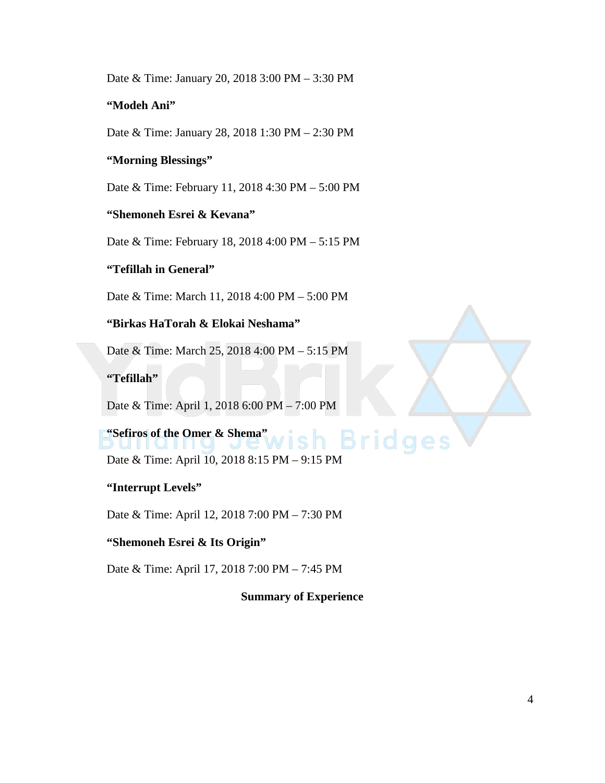Date & Time: January 20, 2018 3:00 PM – 3:30 PM

# **"Modeh Ani"**

Date & Time: January 28, 2018 1:30 PM – 2:30 PM

# **"Morning Blessings"**

Date & Time: February 11, 2018 4:30 PM – 5:00 PM

### **"Shemoneh Esrei & Kevana"**

Date & Time: February 18, 2018 4:00 PM – 5:15 PM

# **"Tefillah in General"**

Date & Time: March 11, 2018 4:00 PM – 5:00 PM

# **"Birkas HaTorah & Elokai Neshama"**

Date & Time: March 25, 2018 4:00 PM – 5:15 PM

**"Tefillah"** 

Date & Time: April 1, 2018 6:00 PM – 7:00 PM

# **"Sefiros of the Omer & Shema"**  Bridges

Date & Time: April 10, 2018 8:15 PM – 9:15 PM

# **"Interrupt Levels"**

Date & Time: April 12, 2018 7:00 PM – 7:30 PM

### **"Shemoneh Esrei & Its Origin"**

Date & Time: April 17, 2018 7:00 PM – 7:45 PM

**Summary of Experience**

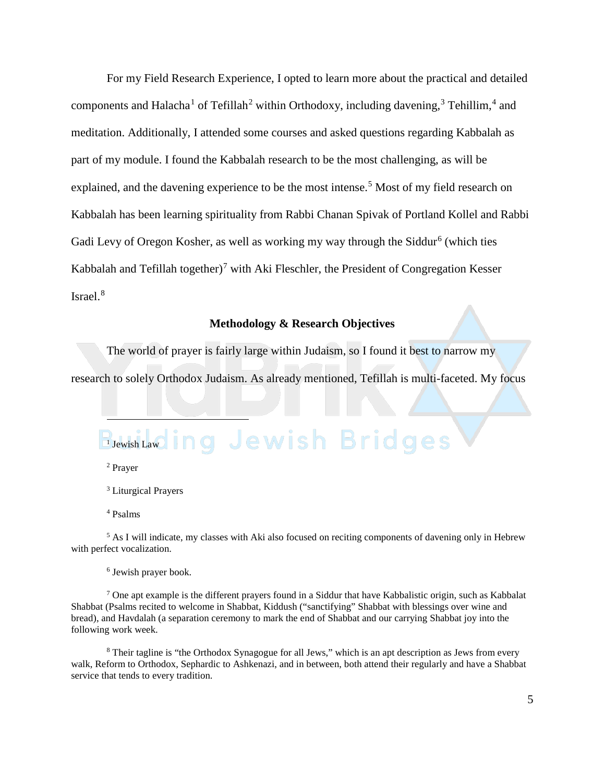For my Field Research Experience, I opted to learn more about the practical and detailed components and Halacha<sup>[1](#page-4-0)</sup> of Tefillah<sup>[2](#page-4-1)</sup> within Orthodoxy, including davening,<sup>[3](#page-4-2)</sup> Tehillim,<sup>[4](#page-4-3)</sup> and meditation. Additionally, I attended some courses and asked questions regarding Kabbalah as part of my module. I found the Kabbalah research to be the most challenging, as will be explained, and the davening experience to be the most intense.<sup>[5](#page-4-4)</sup> Most of my field research on Kabbalah has been learning spirituality from Rabbi Chanan Spivak of Portland Kollel and Rabbi Gadi Levy of Oregon Kosher, as well as working my way through the Siddur<sup>[6](#page-4-5)</sup> (which ties Kabbalah and Tefillah together)<sup>[7](#page-4-6)</sup> with Aki Fleschler, the President of Congregation Kesser Israel. [8](#page-4-7)

#### **Methodology & Research Objectives**

The world of prayer is fairly large within Judaism, so I found it best to narrow my research to solely Orthodox Judaism. As already mentioned, Tefillah is multi-faceted. My focus

# <span id="page-4-0"></span>ng Jewish Bridges <sup>1</sup> Jewish Law

<sup>2</sup> Prayer

 $\overline{a}$ 

<sup>3</sup> Liturgical Prayers

<sup>4</sup> Psalms

<span id="page-4-4"></span><span id="page-4-3"></span><span id="page-4-2"></span><span id="page-4-1"></span> $<sup>5</sup>$  As I will indicate, my classes with Aki also focused on reciting components of davening only in Hebrew</sup> with perfect vocalization.

<sup>6</sup> Jewish prayer book.

<span id="page-4-6"></span><span id="page-4-5"></span> $7$  One apt example is the different prayers found in a Siddur that have Kabbalistic origin, such as Kabbalat Shabbat (Psalms recited to welcome in Shabbat, Kiddush ("sanctifying" Shabbat with blessings over wine and bread), and Havdalah (a separation ceremony to mark the end of Shabbat and our carrying Shabbat joy into the following work week.

<span id="page-4-7"></span><sup>8</sup> Their tagline is "the Orthodox Synagogue for all Jews," which is an apt description as Jews from every walk, Reform to Orthodox, Sephardic to Ashkenazi, and in between, both attend their regularly and have a Shabbat service that tends to every tradition.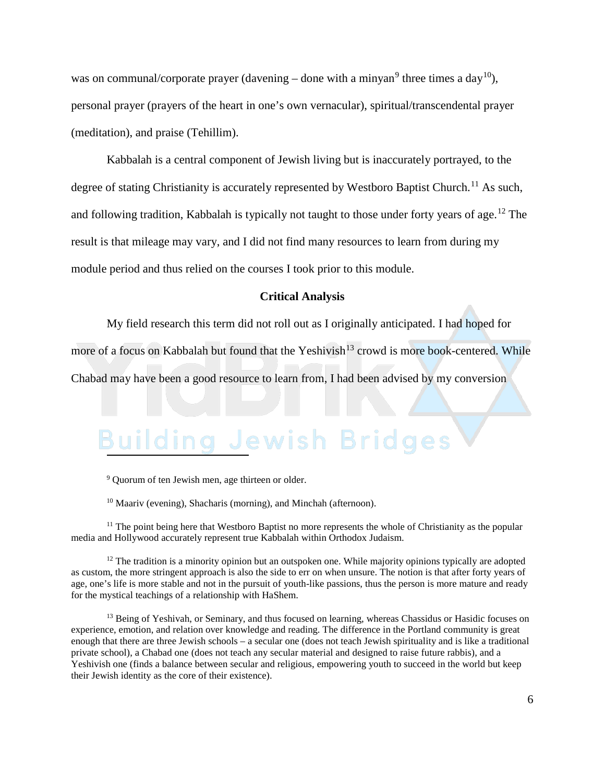was on communal/corporate prayer (davening – done with a minyan<sup>[9](#page-5-0)</sup> three times a day<sup>[10](#page-5-1)</sup>), personal prayer (prayers of the heart in one's own vernacular), spiritual/transcendental prayer (meditation), and praise (Tehillim).

Kabbalah is a central component of Jewish living but is inaccurately portrayed, to the degree of stating Christianity is accurately represented by Westboro Baptist Church.<sup>[11](#page-5-2)</sup> As such, and following tradition, Kabbalah is typically not taught to those under forty years of age.[12](#page-5-3) The result is that mileage may vary, and I did not find many resources to learn from during my module period and thus relied on the courses I took prior to this module.

#### **Critical Analysis**

My field research this term did not roll out as I originally anticipated. I had hoped for more of a focus on Kabbalah but found that the Yeshivish<sup>[13](#page-5-4)</sup> crowd is more book-centered. While Chabad may have been a good resource to learn from, I had been advised by my conversion

#### Jewish Bridges  $3$ uildin Ï

<sup>9</sup> Ouorum of ten Jewish men, age thirteen or older.

<sup>10</sup> Maariv (evening), Shacharis (morning), and Minchah (afternoon).

<span id="page-5-2"></span><span id="page-5-1"></span><span id="page-5-0"></span><sup>11</sup> The point being here that Westboro Baptist no more represents the whole of Christianity as the popular media and Hollywood accurately represent true Kabbalah within Orthodox Judaism.

<span id="page-5-3"></span> $12$  The tradition is a minority opinion but an outspoken one. While majority opinions typically are adopted as custom, the more stringent approach is also the side to err on when unsure. The notion is that after forty years of age, one's life is more stable and not in the pursuit of youth-like passions, thus the person is more mature and ready for the mystical teachings of a relationship with HaShem.

<span id="page-5-4"></span><sup>13</sup> Being of Yeshivah, or Seminary, and thus focused on learning, whereas Chassidus or Hasidic focuses on experience, emotion, and relation over knowledge and reading. The difference in the Portland community is great enough that there are three Jewish schools – a secular one (does not teach Jewish spirituality and is like a traditional private school), a Chabad one (does not teach any secular material and designed to raise future rabbis), and a Yeshivish one (finds a balance between secular and religious, empowering youth to succeed in the world but keep their Jewish identity as the core of their existence).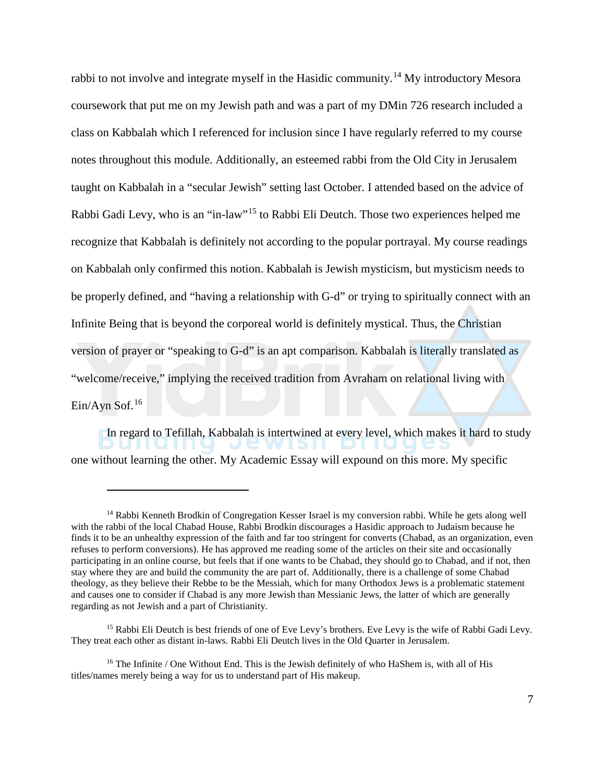rabbi to not involve and integrate myself in the Hasidic community.[14](#page-6-0) My introductory Mesora coursework that put me on my Jewish path and was a part of my DMin 726 research included a class on Kabbalah which I referenced for inclusion since I have regularly referred to my course notes throughout this module. Additionally, an esteemed rabbi from the Old City in Jerusalem taught on Kabbalah in a "secular Jewish" setting last October. I attended based on the advice of Rabbi Gadi Levy, who is an "in-law"[15](#page-6-1) to Rabbi Eli Deutch. Those two experiences helped me recognize that Kabbalah is definitely not according to the popular portrayal. My course readings on Kabbalah only confirmed this notion. Kabbalah is Jewish mysticism, but mysticism needs to be properly defined, and "having a relationship with G-d" or trying to spiritually connect with an Infinite Being that is beyond the corporeal world is definitely mystical. Thus, the Christian version of prayer or "speaking to G-d" is an apt comparison. Kabbalah is literally translated as "welcome/receive," implying the received tradition from Avraham on relational living with Ein/Ayn Sof.[16](#page-6-2)

In regard to Tefillah, Kabbalah is intertwined at every level, which makes it hard to study  $\Box$ JUE WUSIL one without learning the other. My Academic Essay will expound on this more. My specific

 $\overline{a}$ 

<span id="page-6-0"></span><sup>&</sup>lt;sup>14</sup> Rabbi Kenneth Brodkin of Congregation Kesser Israel is my conversion rabbi. While he gets along well with the rabbi of the local Chabad House, Rabbi Brodkin discourages a Hasidic approach to Judaism because he finds it to be an unhealthy expression of the faith and far too stringent for converts (Chabad, as an organization, even refuses to perform conversions). He has approved me reading some of the articles on their site and occasionally participating in an online course, but feels that if one wants to be Chabad, they should go to Chabad, and if not, then stay where they are and build the community the are part of. Additionally, there is a challenge of some Chabad theology, as they believe their Rebbe to be the Messiah, which for many Orthodox Jews is a problematic statement and causes one to consider if Chabad is any more Jewish than Messianic Jews, the latter of which are generally regarding as not Jewish and a part of Christianity.

<span id="page-6-1"></span><sup>&</sup>lt;sup>15</sup> Rabbi Eli Deutch is best friends of one of Eve Levy's brothers. Eve Levy is the wife of Rabbi Gadi Levy. They treat each other as distant in-laws. Rabbi Eli Deutch lives in the Old Quarter in Jerusalem.

<span id="page-6-2"></span><sup>&</sup>lt;sup>16</sup> The Infinite / One Without End. This is the Jewish definitely of who HaShem is, with all of His titles/names merely being a way for us to understand part of His makeup.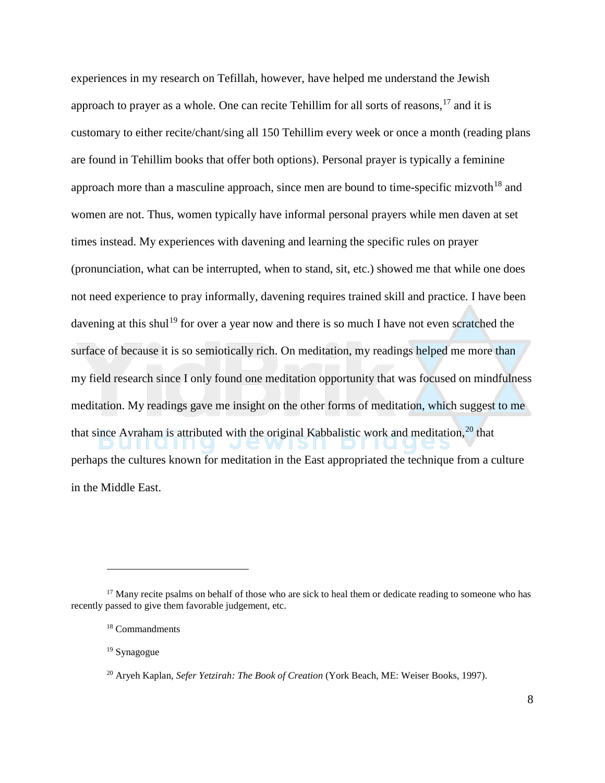experiences in my research on Tefillah, however, have helped me understand the Jewish approach to prayer as a whole. One can recite Tehillim for all sorts of reasons,  $17$  and it is customary to either recite/chant/sing all 150 Tehillim every week or once a month (reading plans are found in Tehillim books that offer both options). Personal prayer is typically a feminine approach more than a masculine approach, since men are bound to time-specific mizvoth<sup>[18](#page-7-1)</sup> and women are not. Thus, women typically have informal personal prayers while men daven at set times instead. My experiences with davening and learning the specific rules on prayer (pronunciation, what can be interrupted, when to stand, sit, etc.) showed me that while one does not need experience to pray informally, davening requires trained skill and practice. I have been davening at this shul<sup>[19](#page-7-2)</sup> for over a year now and there is so much I have not even scratched the surface of because it is so semiotically rich. On meditation, my readings helped me more than my field research since I only found one meditation opportunity that was focused on mindfulness meditation. My readings gave me insight on the other forms of meditation, which suggest to me that since Avraham is attributed with the original Kabbalistic work and meditation,<sup>[20](#page-7-3)</sup> that perhaps the cultures known for meditation in the East appropriated the technique from a culture in the Middle East.

 $\overline{a}$ 

<span id="page-7-2"></span><span id="page-7-1"></span><span id="page-7-0"></span><sup>&</sup>lt;sup>17</sup> Many recite psalms on behalf of those who are sick to heal them or dedicate reading to someone who has recently passed to give them favorable judgement, etc.

<sup>18</sup> Commandments

<sup>19</sup> Synagogue

<span id="page-7-3"></span><sup>20</sup> Aryeh Kaplan, *Sefer Yetzirah: The Book of Creation* (York Beach, ME: Weiser Books, 1997).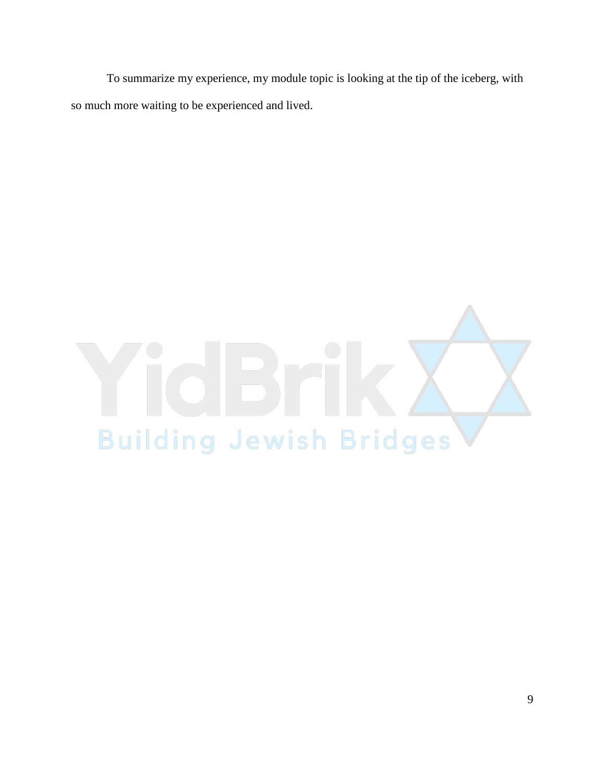To summarize my experience, my module topic is looking at the tip of the iceberg, with so much more waiting to be experienced and lived.